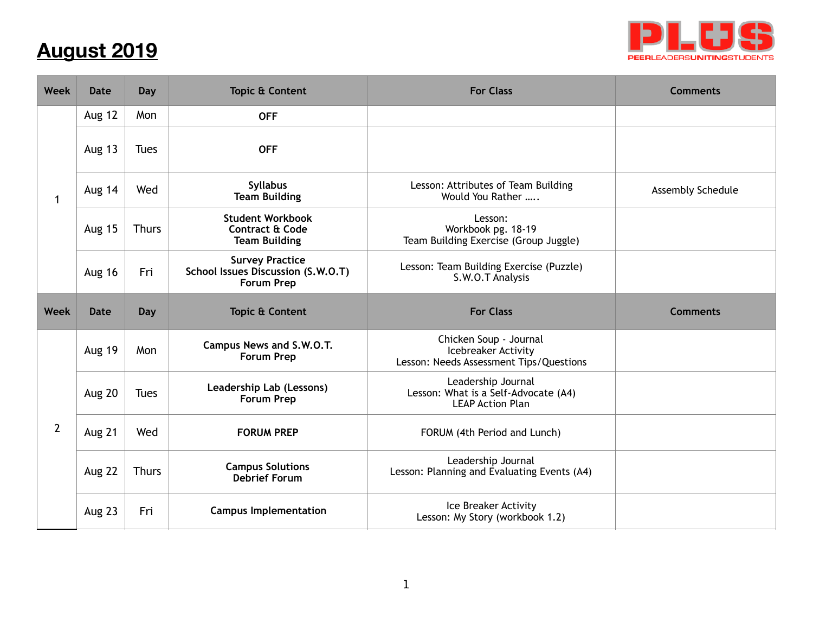## **August 2019**



| Week           | <b>Date</b>   | Day          | <b>Topic &amp; Content</b>                                                        | <b>For Class</b>                                                                         | <b>Comments</b>   |
|----------------|---------------|--------------|-----------------------------------------------------------------------------------|------------------------------------------------------------------------------------------|-------------------|
| 1              | Aug 12        | Mon          | <b>OFF</b>                                                                        |                                                                                          |                   |
|                | <b>Aug 13</b> | <b>Tues</b>  | <b>OFF</b>                                                                        |                                                                                          |                   |
|                | Aug 14        | Wed          | <b>Syllabus</b><br><b>Team Building</b>                                           | Lesson: Attributes of Team Building<br>Would You Rather                                  | Assembly Schedule |
|                | Aug 15        | <b>Thurs</b> | <b>Student Workbook</b><br><b>Contract &amp; Code</b><br><b>Team Building</b>     | Lesson:<br>Workbook pg. 18-19<br>Team Building Exercise (Group Juggle)                   |                   |
|                | <b>Aug 16</b> | Fri          | <b>Survey Practice</b><br>School Issues Discussion (S.W.O.T)<br><b>Forum Prep</b> | Lesson: Team Building Exercise (Puzzle)<br>S.W.O.T Analysis                              |                   |
| <b>Week</b>    | <b>Date</b>   | Day          | <b>Topic &amp; Content</b>                                                        | <b>For Class</b>                                                                         | <b>Comments</b>   |
| $\overline{2}$ | Aug 19        | Mon          | Campus News and S.W.O.T.<br><b>Forum Prep</b>                                     | Chicken Soup - Journal<br>Icebreaker Activity<br>Lesson: Needs Assessment Tips/Questions |                   |
|                | Aug 20        | <b>Tues</b>  | Leadership Lab (Lessons)<br><b>Forum Prep</b>                                     | Leadership Journal<br>Lesson: What is a Self-Advocate (A4)<br><b>LEAP Action Plan</b>    |                   |
|                | Aug 21        | Wed          | <b>FORUM PREP</b>                                                                 | FORUM (4th Period and Lunch)                                                             |                   |
|                | Aug 22        | <b>Thurs</b> | <b>Campus Solutions</b><br><b>Debrief Forum</b>                                   | Leadership Journal<br>Lesson: Planning and Evaluating Events (A4)                        |                   |
|                | Aug 23        | Fri          | <b>Campus Implementation</b>                                                      | Ice Breaker Activity<br>Lesson: My Story (workbook 1.2)                                  |                   |